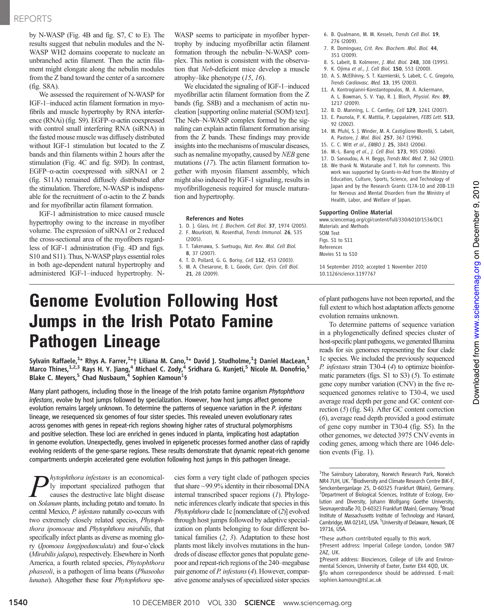by N-WASP (Fig. 4B and fig. S7, C to E). The results suggest that nebulin modules and the N-WASP WH2 domains cooperate to nucleate an unbranched actin filament. Then the actin filament might elongate along the nebulin modules from the Z band toward the center of a sarcomere (fig. S8A).

We assessed the requirement of N-WASP for IGF-1–induced actin filament formation in myofibrils and muscle hypertrophy by RNA interference (RNAi) (fig. S9). EGFP–a-actin coexpressed with control small interfering RNA (siRNA) in the fasted mouse muscle was diffusely distributed without IGF-1 stimulation but located to the Z bands and thin filaments within 2 hours after the stimulation (Fig. 4C and fig. S9D). In contrast, EGFP– $\alpha$ -actin coexpressed with siRNA1 or 2 (fig. S11A) remained diffusely distributed after the stimulation. Therefore, N-WASP is indispensable for the recruitment of  $\alpha$ -actin to the Z bands and for myofibrillar actin filament formation.

IGF-1 administration to mice caused muscle hypertrophy owing to the increase in myofiber volume. The expression of siRNA1 or 2 reduced the cross-sectional area of the myofibers regardless of IGF-1 administration (Fig. 4D and figs. S10 and S11). Thus, N-WASP plays essential roles in both age-dependent natural hypertrophy and administered IGF-1–induced hypertrophy. N-

WASP seems to participate in myofiber hypertrophy by inducing myofibrillar actin filament formation through the nebulin–N-WASP complex. This notion is consistent with the observation that Neb-deficient mice develop a muscle atrophy–like phenotype (15, 16).

We elucidated the signaling of IGF-1–induced myofibrillar actin filament formation from the Z bands (fig. S8B) and a mechanism of actin nucleation [supporting online material (SOM) text]. The Neb–N-WASP complex formed by the signaling can explain actin filament formation arising from the Z bands. These findings may provide insights into the mechanisms of muscular diseases, such as nemaline myopathy, caused by NEB gene mutations (17). The actin filament formation together with myosin filament assembly, which might also induced by IGF-1 signaling, results in myofibrillogenesis required for muscle maturation and hypertrophy.

#### References and Notes

- 1. D. J. Glass, Int. J. Biochem. Cell Biol. 37, 1974 (2005). 2. F. Mourkioti, N. Rosenthal, Trends Immunol. 26, 535
- (2005). 3. T. Takenawa, S. Suetsugu, Nat. Rev. Mol. Cell Biol.
- 8, 37 (2007).
- 4. T. D. Pollard, G. G. Borisy, Cell 112, 453 (2003).
- 5. M. A. Chesarone, B. L. Goode, Curr. Opin. Cell Biol. 21, 28 (2009).

## Genome Evolution Following Host Jumps in the Irish Potato Famine Pathogen Lineage

Sylvain Raffaele, $^{1_\star}$  Rhys A. Farrer, $^{1_\star}$ † Liliana M. Cano, $^{1_\star}$  David J. Studholme, $^{1_\star}$  Daniel MacLean, $^{1_\star}$ Marco Thines, $^{1,2,3}$  Rays H. Y. Jiang, $^4$  Michael C. Zody, $^4$  Sridhara G. Kunjeti, $^5$  Nicole M. Donofrio, $^5$ Blake C. Meyers,<sup>5</sup> Chad Nusbaum, <sup>4</sup> Sophien Kamoun<sup>1</sup>§

Many plant pathogens, including those in the lineage of the Irish potato famine organism *Phytophthora* infestans, evolve by host jumps followed by specialization. However, how host jumps affect genome evolution remains largely unknown. To determine the patterns of sequence variation in the P. infestans lineage, we resequenced six genomes of four sister species. This revealed uneven evolutionary rates across genomes with genes in repeat-rich regions showing higher rates of structural polymorphisms and positive selection. These loci are enriched in genes induced in planta, implicating host adaptation in genome evolution. Unexpectedly, genes involved in epigenetic processes formed another class of rapidly evolving residents of the gene-sparse regions. These results demonstrate that dynamic repeat-rich genome compartments underpin accelerated gene evolution following host jumps in this pathogen lineage.

hytophthora infestans is an economically important specialized pathogen that causes the destructive late blight disease on Solanum plants, including potato and tomato. In central Mexico, P. infestans naturally co-occurs with two extremely closely related species, Phytophthora ipomoeae and Phytophthora mirabilis, that specifically infect plants as diverse as morning glory (Ipomoea longipedunculata) and four-o'clock (Mirabilis jalapa), respectively. Elsewhere in North America, a fourth related species, Phytophthora phaseoli, is a pathogen of lima beans (Phaseolus lunatus). Altogether these four Phytophthora spe-

cies form a very tight clade of pathogen species that share ~99.9% identity in their ribosomal DNA internal transcribed spacer regions (1). Phylogenetic inferences clearly indicate that species in this Phytophthora clade 1c [nomenclature of (2)] evolved through host jumps followed by adaptive specialization on plants belonging to four different botanical families (2, 3). Adaptation to these host plants most likely involves mutations in the hundreds of disease effector genes that populate genepoor and repeat-rich regions of the 240–megabase pair genome of P. infestans (4). However, comparative genome analyses of specialized sister species

- 6. B. Qualmann, M. M. Kessels, Trends Cell Biol. 19, 276 (2009).
- 7. R. Dominguez, Crit. Rev. Biochem. Mol. Biol. 44, 351 (2009).
- 8. S. Labeit, B. Kolmerer, J. Mol. Biol. 248, 308 (1995).
- 9. K. Ojima et al., J. Cell Biol. 150, 553 (2000).
- 10. A. S. McElhinny, S. T. Kazmierski, S. Labeit, C. C. Gregorio, Trends Cardiovasc. Med. 13, 195 (2003).
- 11. A. Kontrogianni-Konstantopoulos, M. A. Ackermann, A. L. Bowman, S. V. Yap, R. J. Bloch, Physiol. Rev. 89, 1217 (2009).
- 12. B. D. Manning, L. C. Cantley, Cell 129, 1261 (2007).
- 13. E. Paunola, P. K. Mattila, P. Lappalainen, FEBS Lett. 513, 92 (2002).
- 14. M. Pfuhl, S. J. Winder, M. A. Castiglione Morelli, S. Labeit, A. Pastore, J. Mol. Biol. 257, 367 (1996).
- 15. C. C. Witt et al., EMBO J. 25, 3843 (2006).
- 16. M.-L. Bang et al., J. Cell Biol. 173, 905 (2006).
- 17. D. Sanoudou, A. H. Beggs, Trends Mol. Med. 7, 362 (2001).
- 18. We thank N. Watanabe and T. Itoh for comments. This work was supported by Grants-in-Aid from the Ministry of Education, Culture, Sports, Science, and Technology of Japan and by the Research Grants (17A-10 and 20B-13) for Nervous and Mental Disorders from the Ministry of Health, Labor, and Welfare of Japan.

#### Supporting Online Material

www.sciencemag.org/cgi/content/full/330/6010/1536/DC1 Materials and Methods SOM Text Figs. S1 to S11

References Movies S1 to S10

14 September 2010; accepted 1 November 2010 10.1126/science.1197767

of plant pathogens have not been reported, and the full extent to which host adaptation affects genome evolution remains unknown.

To determine patterns of sequence variation in a phylogenetically defined species cluster of host-specific plant pathogens, we generated Illumina reads for six genomes representing the four clade 1c species. We included the previously sequenced P. *infestans* strain T30-4 (4) to optimize bioinformatic parameters (figs.  $S1$  to  $S3$ ) (5). To estimate gene copy number variation (CNV) in the five resequenced genomes relative to T30-4, we used average read depth per gene and GC content correction (5) (fig. S4). After GC content correction (6), average read depth provided a good estimate of gene copy number in T30-4 (fig. S5). In the other genomes, we detected 3975 CNV events in coding genes, among which there are 1046 deletion events (Fig. 1).

<sup>&</sup>lt;sup>1</sup>The Sainsbury Laboratory, Norwich Research Park, Norwich NR4 7UH, UK.<sup>2</sup> Biodiversity and Climate Research Centre BiK-F, Senckenberganlage 25, D-60325 Frankfurt (Main), Germany. <sup>3</sup>Department of Biological Sciences, Institute of Ecology, Evolution and Diversity, Johann Wolfgang Goethe University, Siesmayerstraße 70, D-60323 Frankfurt (Main), Germany. <sup>4</sup>Broad Institute of Massachusetts Institute of Technology and Harvard, Cambridge, MA 02141, USA. <sup>5</sup>University of Delaware, Newark, DE 19716, USA.

<sup>\*</sup>These authors contributed equally to this work.

<sup>†</sup>Present address: Imperial College London, London SW7 2AZ, UK.

<sup>‡</sup>Present address: Biosciences, College of Life and Environmental Sciences, University of Exeter, Exeter EX4 4QD, UK. §To whom correspondence should be addressed. E-mail: sophien.kamoun@tsl.ac.uk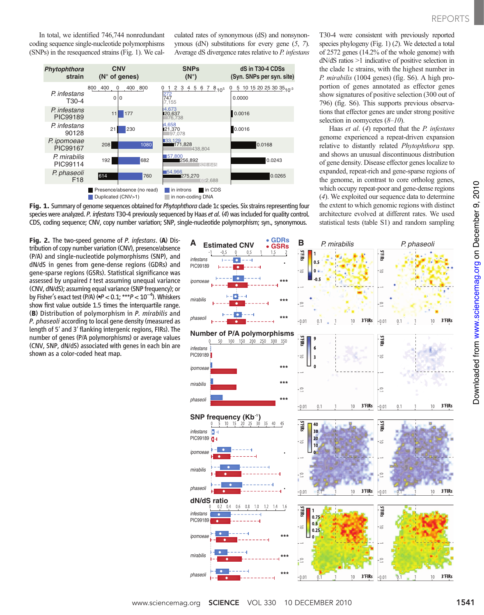T30-4 were consistent with previously reported species phylogeny (Fig. 1) (2). We detected a total of 2572 genes (14.2% of the whole genome) with dN/dS ratios >1 indicative of positive selection in the clade 1c strains, with the highest number in P. mirabilis (1004 genes) (fig. S6). A high proportion of genes annotated as effector genes show signatures of positive selection (300 out of 796) (fig. S6). This supports previous observations that effector genes are under strong positive

Haas et al. (4) reported that the P. infestans genome experienced a repeat-driven expansion relative to distantly related Phytophthora spp. and shows an unusual discontinuous distribution of gene density. Disease effector genes localize to expanded, repeat-rich and gene-sparse regions of the genome, in contrast to core ortholog genes, which occupy repeat-poor and gene-dense regions (4). We exploited our sequence data to determine the extent to which genomic regions with distinct architecture evolved at different rates. We used statistical tests (table S1) and random sampling

selection in oomycetes  $(8-10)$ .

In total, we identified 746,744 nonredundant coding sequence single-nucleotide polymorphisms (SNPs) in the resequenced strains (Fig. 1). We calculated rates of synonymous (dS) and nonsynonymous (dN) substitutions for every gene (5, 7). Average dS divergence rates relative to P. infestans



Fig. 1. Summary of genome sequences obtained for *Phytophthora* clade 1c species. Six strains representing four species were analyzed. P. infestans T30-4 previously sequenced by Haas et al. (4) was included for quality control. CDS, coding sequence; CNV, copy number variation; SNP, single-nucleotide polymorphism; syn., synonymous.

Fig. 2. The two-speed genome of P. infestans. (A) Distribution of copy number variation (CNV), presence/absence (P/A) and single-nucleotide polymorphisms (SNP), and dN/dS in genes from gene-dense regions (GDRs) and gene-sparse regions (GSRs). Statistical significance was assessed by unpaired t test assuming unequal variance (CNV, dN/dS); assuming equal variance (SNP frequency); or by Fisher's exact test (P/A) ( $\bullet P < 0.1;$  \*\*\* $P < 10^{-4}$ ). Whiskers show first value outside 1.5 times the interquartile range. (B) Distribution of polymorphism in P. mirabilis and P. phaseoli according to local gene density (measured as length of 5′ and 3′ flanking intergenic regions, FIRs). The number of genes (P/A polymorphisms) or average values (CNV, SNP, dN/dS) associated with genes in each bin are shown as a color-coded heat map.

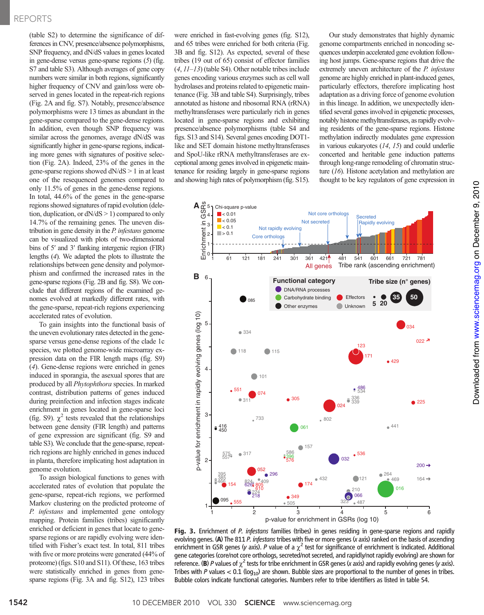(table S2) to determine the significance of differences in CNV, presence/absence polymorphisms, SNP frequency, and dN/dS values in genes located in gene-dense versus gene-sparse regions (5) (fig. S7 and table S3). Although averages of gene copy numbers were similar in both regions, significantly higher frequency of CNV and gain/loss were observed in genes located in the repeat-rich regions (Fig. 2A and fig. S7). Notably, presence/absence polymorphisms were 13 times as abundant in the gene-sparse compared to the gene-dense regions. In addition, even though SNP frequency was similar across the genomes, average dN/dS was significantly higher in gene-sparse regions, indicating more genes with signatures of positive selection (Fig. 2A). Indeed, 23% of the genes in the gene-sparse regions showed  $dN/dS > 1$  in at least one of the resequenced genomes compared to only 11.5% of genes in the gene-dense regions. In total, 44.6% of the genes in the gene-sparse regions showed signatures of rapid evolution (deletion, duplication, or dN/dS > 1) compared to only 14.7% of the remaining genes. The uneven distribution in gene density in the P. infestans genome can be visualized with plots of two-dimensional bins of 5′ and 3′ flanking intergenic region (FIR) lengths (4). We adapted the plots to illustrate the relationships between gene density and polymorphism and confirmed the increased rates in the gene-sparse regions (Fig. 2B and fig. S8). We conclude that different regions of the examined genomes evolved at markedly different rates, with the gene-sparse, repeat-rich regions experiencing accelerated rates of evolution.

To gain insights into the functional basis of the uneven evolutionary rates detected in the genesparse versus gene-dense regions of the clade 1c species, we plotted genome-wide microarray expression data on the FIR length maps (fig. S9) (4). Gene-dense regions were enriched in genes induced in sporangia, the asexual spores that are produced by all Phytophthora species. In marked contrast, distribution patterns of genes induced during preinfection and infection stages indicate enrichment in genes located in gene-sparse loci (fig. S9).  $\chi^2$  tests revealed that the relationships between gene density (FIR length) and patterns of gene expression are significant (fig. S9 and table S3). We conclude that the gene-sparse, repeatrich regions are highly enriched in genes induced in planta, therefore implicating host adaptation in genome evolution.

To assign biological functions to genes with accelerated rates of evolution that populate the gene-sparse, repeat-rich regions, we performed Markov clustering on the predicted proteome of P. infestans and implemented gene ontology mapping. Protein families (tribes) significantly enriched or deficient in genes that locate to genesparse regions or are rapidly evolving were identified with Fisher's exact test. In total, 811 tribes with five or more proteins were generated (44% of proteome) (figs. S10 and S11). Of these, 163 tribes were statistically enriched in genes from genesparse regions (Fig. 3A and fig. S12), 123 tribes

were enriched in fast-evolving genes (fig. S12), and 65 tribes were enriched for both criteria (Fig. 3B and fig. S12). As expected, several of these tribes (19 out of 65) consist of effector families  $(4, 11-13)$  (table S4). Other notable tribes include genes encoding various enzymes such as cell wall hydrolases and proteins related to epigenetic maintenance (Fig. 3B and table S4). Surprisingly, tribes annotated as histone and ribosomal RNA (rRNA) methyltransferases were particularly rich in genes located in gene-sparse regions and exhibiting presence/absence polymorphisms (table S4 and figs. S13 and S14). Several genes encoding DOT1 like and SET domain histone methyltransferases and SpoU-like rRNA methyltransferases are exceptional among genes involved in epigenetic maintenance for residing largely in gene-sparse regions and showing high rates of polymorphism (fig. S15).

Our study demonstrates that highly dynamic genome compartments enriched in noncoding sequences underpin accelerated gene evolution following host jumps. Gene-sparse regions that drive the extremely uneven architecture of the P. infestans genome are highly enriched in plant-induced genes, particularly effectors, therefore implicating host adaptation as a driving force of genome evolution in this lineage. In addition, we unexpectedly identified several genes involved in epigenetic processes, notably histone methyltransferases, as rapidly evolving residents of the gene-sparse regions. Histone methylation indirectly modulates gene expression in various eukaryotes (14, 15) and could underlie concerted and heritable gene induction patterns through long-range remodeling of chromatin structure (16). Histone acetylation and methylation are thought to be key regulators of gene expression in



Fig. 3. Enrichment of P. infestans families (tribes) in genes residing in gene-sparse regions and rapidly evolving genes. (A) The 811 P. infestans tribes with five or more genes (x axis) ranked on the basis of ascending enrichment in GSR genes (y axis). P value of a  $\chi^2$  test for significance of enrichment is indicated. Additional gene categories (core/not core orthologs, secreted/not secreted, and rapidly/not rapidly evolving) are shown for reference. (B) P values of  $\chi^2$  tests for tribe enrichment in GSR genes (x axis) and rapidly evolving genes (y axis). Tribes with P values < 0.1 ( $log_{10}$ ) are shown. Bubble sizes are proportional to the number of genes in tribes. Bubble colors indicate functional categories. Numbers refer to tribe identifiers as listed in table S4.